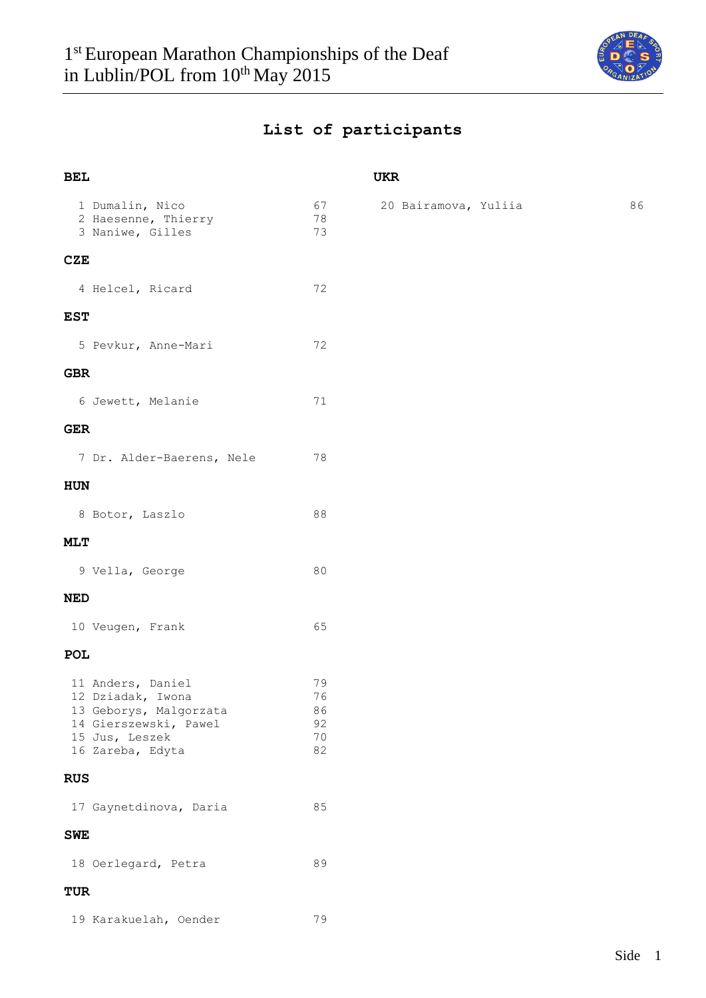

# **List of participants**

| <b>BEL</b> |                                                                                                                                 |                                    | <b>UKR</b>           |    |
|------------|---------------------------------------------------------------------------------------------------------------------------------|------------------------------------|----------------------|----|
|            | 1 Dumalin, Nico<br>2 Haesenne, Thierry<br>3 Naniwe, Gilles                                                                      | 67<br>78<br>73                     | 20 Bairamova, Yuliia | 86 |
| <b>CZE</b> |                                                                                                                                 |                                    |                      |    |
|            | 4 Helcel, Ricard                                                                                                                | 72                                 |                      |    |
| <b>EST</b> |                                                                                                                                 |                                    |                      |    |
|            | 5 Pevkur, Anne-Mari                                                                                                             | 72                                 |                      |    |
| <b>GBR</b> |                                                                                                                                 |                                    |                      |    |
|            | 6 Jewett, Melanie                                                                                                               | $71\,$                             |                      |    |
| <b>GER</b> |                                                                                                                                 |                                    |                      |    |
|            | 7 Dr. Alder-Baerens, Nele                                                                                                       | 78                                 |                      |    |
| HUN        |                                                                                                                                 |                                    |                      |    |
|            | 8 Botor, Laszlo                                                                                                                 | 88                                 |                      |    |
| <b>MLT</b> |                                                                                                                                 |                                    |                      |    |
|            | 9 Vella, George                                                                                                                 | 80                                 |                      |    |
| <b>NED</b> |                                                                                                                                 |                                    |                      |    |
|            | 10 Veugen, Frank                                                                                                                | 65                                 |                      |    |
| <b>POL</b> |                                                                                                                                 |                                    |                      |    |
|            | 11 Anders, Daniel<br>12 Dziadak, Iwona<br>13 Geborys, Malgorzata<br>14 Gierszewski, Pawel<br>15 Jus, Leszek<br>16 Zareba, Edyta | 79<br>76<br>86<br>92<br>$70$<br>82 |                      |    |
| <b>RUS</b> |                                                                                                                                 |                                    |                      |    |
|            | 17 Gaynetdinova, Daria                                                                                                          | 85                                 |                      |    |
| <b>SWE</b> |                                                                                                                                 |                                    |                      |    |
|            | 18 Oerlegard, Petra                                                                                                             | 89                                 |                      |    |
| <b>TUR</b> |                                                                                                                                 |                                    |                      |    |
|            | 19 Karakuelah, Oender                                                                                                           | 79                                 |                      |    |